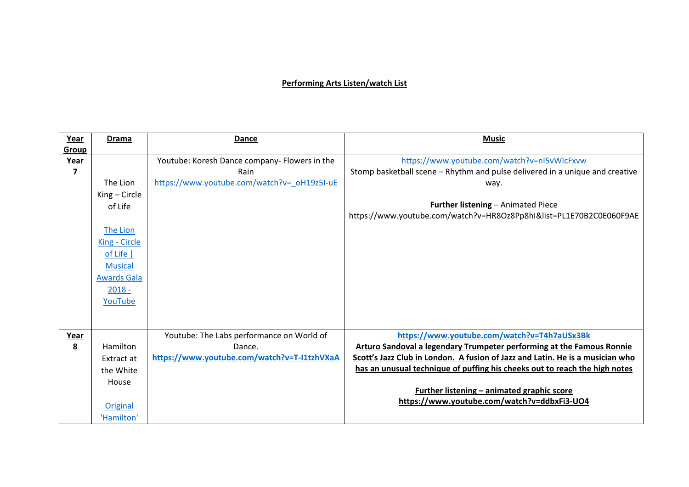## **Performing Arts Listen/watch List**

| Year            | <b>Drama</b>       | Dance                                         | <b>Music</b>                                                                  |
|-----------------|--------------------|-----------------------------------------------|-------------------------------------------------------------------------------|
| <b>Group</b>    |                    |                                               |                                                                               |
| Year            |                    | Youtube: Koresh Dance company- Flowers in the | https://www.youtube.com/watch?v=nI5vWIcFxvw                                   |
| $\overline{z}$  |                    | Rain                                          | Stomp basketball scene - Rhythm and pulse delivered in a unique and creative  |
|                 | The Lion           | https://www.youtube.com/watch?v= oH19z5I-uE   | way.                                                                          |
|                 | King - Circle      |                                               |                                                                               |
|                 | of Life            |                                               | <b>Further listening - Animated Piece</b>                                     |
|                 |                    |                                               | https://www.youtube.com/watch?v=HR8Oz8Pp8hI&list=PL1E70B2C0E060F9AE           |
|                 | The Lion           |                                               |                                                                               |
|                 | King - Circle      |                                               |                                                                               |
|                 | of Life $ $        |                                               |                                                                               |
|                 | <b>Musical</b>     |                                               |                                                                               |
|                 | <b>Awards Gala</b> |                                               |                                                                               |
|                 | $2018 -$           |                                               |                                                                               |
|                 | YouTube            |                                               |                                                                               |
|                 |                    |                                               |                                                                               |
|                 |                    |                                               |                                                                               |
| Year            |                    | Youtube: The Labs performance on World of     | https://www.youtube.com/watch?v=T4h7aUSx3Bk                                   |
| $\underline{8}$ | Hamilton           | Dance.                                        | Arturo Sandoval a legendary Trumpeter performing at the Famous Ronnie         |
|                 | Extract at         | https://www.youtube.com/watch?v=T-I1tzhVXaA   | Scott's Jazz Club in London. A fusion of Jazz and Latin. He is a musician who |
|                 | the White          |                                               | has an unusual technique of puffing his cheeks out to reach the high notes    |
|                 | House              |                                               |                                                                               |
|                 |                    |                                               | Further listening - animated graphic score                                    |
|                 | Original           |                                               | https://www.youtube.com/watch?v=ddbxFi3-UO4                                   |
|                 |                    |                                               |                                                                               |
|                 | 'Hamilton'         |                                               |                                                                               |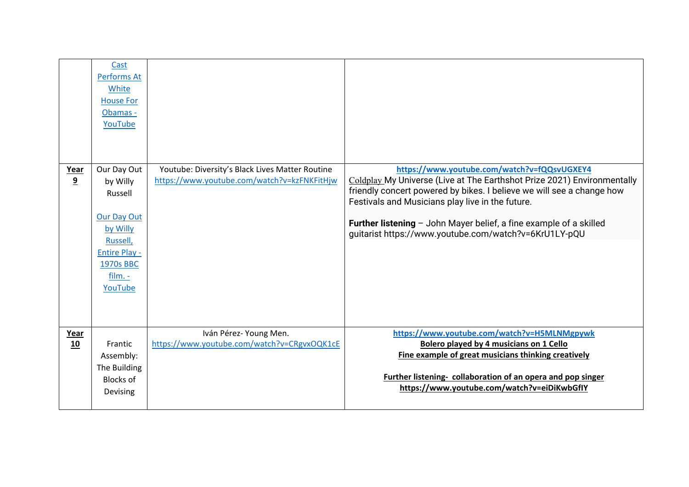|            | Cast<br>Performs At<br>White<br><b>House For</b><br>Obamas -<br>YouTube                                                                       |                                                                                                |                                                                                                                                                                                                                                                                                                                                                                                             |
|------------|-----------------------------------------------------------------------------------------------------------------------------------------------|------------------------------------------------------------------------------------------------|---------------------------------------------------------------------------------------------------------------------------------------------------------------------------------------------------------------------------------------------------------------------------------------------------------------------------------------------------------------------------------------------|
| Year<br>9  | Our Day Out<br>by Willy<br>Russell<br><b>Our Day Out</b><br>by Willy<br>Russell,<br><b>Entire Play -</b><br>1970s BBC<br>$film. -$<br>YouTube | Youtube: Diversity's Black Lives Matter Routine<br>https://www.youtube.com/watch?v=kzFNKFitHjw | https://www.youtube.com/watch?v=fQQsvUGXEY4<br>Coldplay My Universe (Live at The Earthshot Prize 2021) Environmentally<br>friendly concert powered by bikes. I believe we will see a change how<br>Festivals and Musicians play live in the future.<br><b>Further listening</b> $-$ John Mayer belief, a fine example of a skilled<br>guitarist https://www.youtube.com/watch?v=6KrU1LY-pQU |
| Year<br>10 | Frantic<br>Assembly:<br>The Building<br><b>Blocks of</b><br>Devising                                                                          | Iván Pérez- Young Men.<br>https://www.youtube.com/watch?v=CRgvxOQK1cE                          | https://www.youtube.com/watch?v=H5MLNMgpywk<br><b>Bolero played by 4 musicians on 1 Cello</b><br>Fine example of great musicians thinking creatively<br>Further listening- collaboration of an opera and pop singer<br>https://www.youtube.com/watch?v=eiDiKwbGfIY                                                                                                                          |